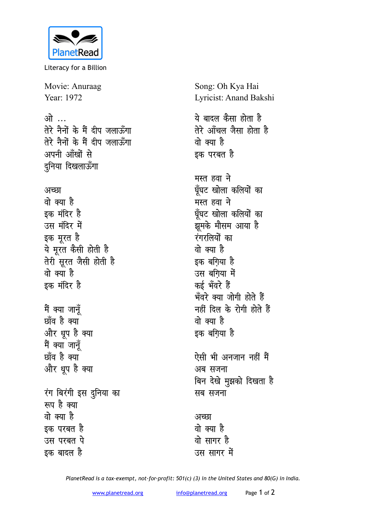

Literacy for a Billion

Movie: Anuraag Year: 1972

## <u>ओ ...</u> तेरे नैनों के मैं दीप जलाऊँगा तेरे नैनों के मैं दीप जलाऊँगा अपनी आँखों से दुनिया दिखलाऊँगा

अच्छा वो क्या है इक मंदिर है उस मंदिर में इक मूरत है ये मूरत कैसी होती है तेरी सूरत जैसी होती है वो क्या है इक मंदिर है मैं क्या जानूँ

छाँव है क्या

और धूप है क्या मैं क्या जानूँ छाँव है क्या और धूप है क्या रंग बिरंगी इस दुनिया का रूप है क्या वो क्या है इक परबत है उस परबत पे इक बादल है

Song: Oh Kya Hai Lyricist: Anand Bakshi ये बादल कैसा होता है तेरे आँचल जैसा होता है वो क्या है इक परबत है मस्त हवा ने घँघट खोला कलियों का मस्त हवा ने घूँघट खोला कलियों का झूमके मौसम आया है रंगरलियों का वो क्या है इक बगिया है उस बगिया में कई भँवरे हैं भँवरे क्या जोगी होते हैं नहीं दिल के रोगी होते हैं वो क्या है इक बगिया है ऐसी भी अनजान नहीं मैं अब सजना बिन देखे मुझको दिखता है सब सजना

## अच्छा वो क्या है वो सागर है उस सागर में

PlanetRead is a tax-exempt, not-for-profit: 501(c) (3) in the United States and 80(G) in India.